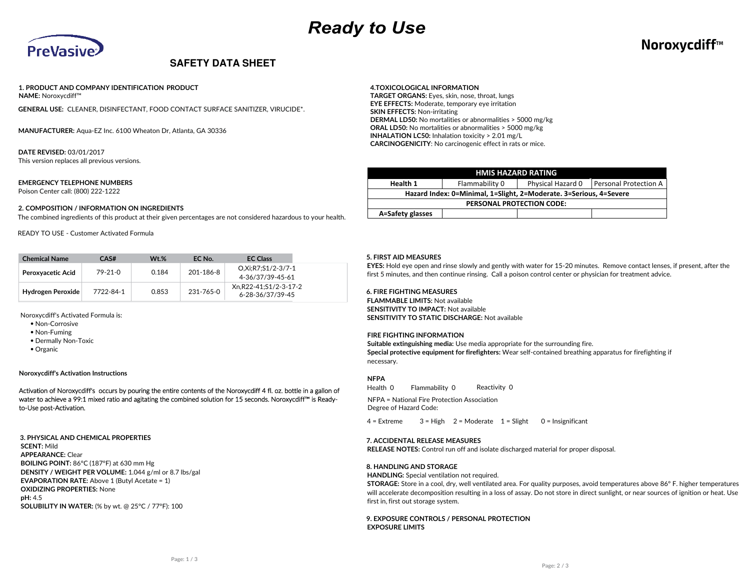

## **NoroxycdiffTM**

### **SAFETY DATA SHEET**

#### **1. PRODUCT AND COMPANY IDENTIFICATION PRODUCT NAME:** Noroxycdiff™

**GENERAL USE:** CLEANER, DISINFECTANT, FOOD CONTACT SURFACE SANITIZER, VIRUCIDE\*.

**MANUFACTURER:** Aqua-EZ Inc. 6100 Wheaton Dr, Atlanta, GA 30336

**DATE REVISED:** 03/01/2017 This version replaces all previous versions.

#### **EMERGENCY TELEPHONE NUMBERS**

Poison Center call: (800) 222-1222

#### **2. COMPOSITION / INFORMATION ON INGREDIENTS**

The combined ingredients of this product at their given percentages are not considered hazardous to your health.

READY TO USE - Customer Activated Formula

| <b>Chemical Name</b>     | CAS#      | $Wt.\%$ | EC No.    | <b>EC Class</b>                           |
|--------------------------|-----------|---------|-----------|-------------------------------------------|
| <b>Peroxyacetic Acid</b> | $79-21-0$ | 0.184   | 201-186-8 | O.Xi:R7:S1/2-3/7-1<br>4-36/37/39-45-61    |
| Hydrogen Peroxide        | 7722-84-1 | 0.853   | 231-765-0 | Xn.R22-41:S1/2-3-17-2<br>6-28-36/37/39-45 |

Noroxycdiff's Activated Formula is:

- Non-Corrosive
- Non-Fuming
- Dermally Non-Toxic
- Organic

**Noroxycdiff's Activation Instructions**

Activation of Noroxycdiff's occurs by pouring the entire contents of the Noroxycdiff 4 fl. oz. bottle in a gallon of water to achieve a 99:1 mixed ratio and agitating the combined solution for 15 seconds. Noroxycdiff™ is Readyto-Use post-Activation.

**3. PHYSICAL AND CHEMICAL PROPERTIES SCENT:** Mild **APPEARANCE:** Clear **BOILING POINT:** 86°C (187°F) at 630 mm Hg **DENSITY / WEIGHT PER VOLUME:** 1.044 g/ml or 8.7 lbs/gal **EVAPORATION RATE:** Above 1 (Butyl Acetate = 1) **OXIDIZING PROPERTIES:** None **pH:** 4.5 **SOLUBILITY IN WATER:** (% by wt. @ 25°C / 77°F): 100

#### **4.TOXICOLOGICAL INFORMATION**

**TARGET ORGANS:** Eyes, skin, nose, throat, lungs **EYE EFFECTS:** Moderate, temporary eye irritation **SKIN EFFECTS:** Non-irritating **DERMAL LD50:** No mortalities or abnormalities > 5000 mg/kg **ORAL LD50:** No mortalities or abnormalities > 5000 mg/kg **INHALATION LC50:** Inhalation toxicity > 2.01 mg/L **CARCINOGENICITY**: No carcinogenic effect in rats or mice.

| <b>HMIS HAZARD RATING</b>                                          |                              |  |  |  |  |  |  |
|--------------------------------------------------------------------|------------------------------|--|--|--|--|--|--|
| Health 1                                                           | <b>Personal Protection A</b> |  |  |  |  |  |  |
| Hazard Index: 0=Minimal, 1=Slight, 2=Moderate. 3=Serious, 4=Severe |                              |  |  |  |  |  |  |
| <b>PERSONAL PROTECTION CODE:</b>                                   |                              |  |  |  |  |  |  |
| A=Safety glasses                                                   |                              |  |  |  |  |  |  |

#### **5. FIRST AID MEASURES**

**EYES:** Hold eye open and rinse slowly and gently with water for 15-20 minutes. Remove contact lenses, if present, after the first 5 minutes, and then continue rinsing. Call a poison control center or physician for treatment advice.

#### **6. FIRE FIGHTING MEASURES**

**FLAMMABLE LIMITS:** Not available **SENSITIVITY TO IMPACT:** Not available **SENSITIVITY TO STATIC DISCHARGE:** Not available

#### **FIRE FIGHTING INFORMATION**

**Suitable extinguishing media:** Use media appropriate for the surrounding fire. **Special protective equipment for firefighters:** Wear self-contained breathing apparatus for firefighting if necessary.

#### **NFPA**

Health 0 Flammability 0 Reactivity 0

NFPA = National Fire Protection Association Degree of Hazard Code:

 $4 =$  Extreme  $3 =$  High  $2 =$  Moderate  $1 =$  Slight 0 = Insignificant

#### **7. ACCIDENTAL RELEASE MEASURES**

**RELEASE NOTES:** Control run off and isolate discharged material for proper disposal.

#### **8. HANDLING AND STORAGE**

**HANDLING:** Special ventilation not required.

**STORAGE:** Store in a cool, dry, well ventilated area. For quality purposes, avoid temperatures above 86º F. higher temperatures will accelerate decomposition resulting in a loss of assay. Do not store in direct sunlight, or near sources of ignition or heat. Use first in, first out storage system.

#### **9. EXPOSURE CONTROLS / PERSONAL PROTECTION EXPOSURE LIMITS**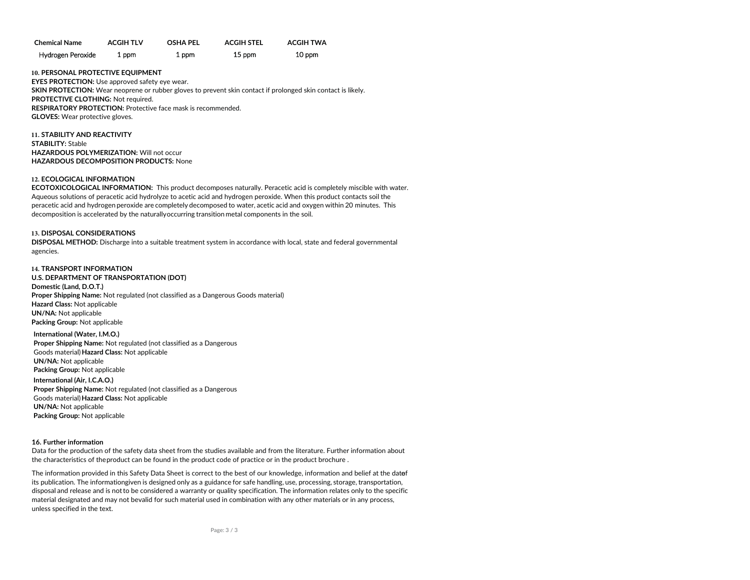| <b>Chemical Name</b> | <b>ACGIH TLV</b> | <b>OSHA PFL</b> | <b>ACGIH STEL</b> | <b>ACGIH TWA</b> |
|----------------------|------------------|-----------------|-------------------|------------------|
| Hydrogen Peroxide    | 1 ppm            | 1 ppm           | 15 ppm            | 10 ppm           |

**10. PERSONAL PROTECTIVE EQUIPMENT EYES PROTECTION:** Use approved safety eye wear. **SKIN PROTECTION:** Wear neoprene or rubber gloves to prevent skin contact if prolonged skin contact is likely. **PROTECTIVE CLOTHING:** Not required. **RESPIRATORY PROTECTION:** Protective face mask is recommended. **GLOVES:** Wear protective gloves.

**11. STABILITY AND REACTIVITY STABILITY:** Stable **HAZARDOUS POLYMERIZATION:** Will not occur **HAZARDOUS DECOMPOSITION PRODUCTS:** None

#### **12. ECOLOGICAL INFORMATION**

**ECOTOXICOLOGICAL INFORMATION:** This product decomposes naturally. Peracetic acid is completely miscible with water. Aqueous solutions of peracetic acid hydrolyze to acetic acid and hydrogen peroxide. When this product contacts soil the peracetic acid and hydrogen peroxide are completely decomposed to water, acetic acid and oxygen within 20 minutes. This decomposition is accelerated by the naturally occurring transition metal components in the soil.

#### **13. DISPOSAL CONSIDERATIONS**

**DISPOSAL METHOD:** Discharge into a suitable treatment system in accordance with local, state and federal governmental agencies.

**14. TRANSPORT INFORMATION U.S. DEPARTMENT OF TRANSPORTATION (DOT) Domestic (Land, D.O.T.) Proper Shipping Name:** Not regulated (not classified as a Dangerous Goods material) **Hazard Class:** Not applicable **UN/NA:** Not applicable **Packing Group:** Not applicable

**International (Water, I.M.O.) Proper Shipping Name:** Not regulated (not classified as a Dangerous Goods material) **Hazard Class:** Not applicable **UN/NA:** Not applicable **Packing Group:** Not applicable

**International (Air, I.C.A.O.) Proper Shipping Name:** Not regulated (not classified as a Dangerous Goods material) **Hazard Class:** Not applicable **UN/NA:** Not applicable **Packing Group:** Not applicable

#### **16. Further information**

Data for the production of the safety data sheet from the studies available and from the literature. Further information about the characteristics of the product can be found in the product code of practice or in the product brochure .

The information provided in this Safety Data Sheet is correct to the best of our knowledge, information and belief at the datef its publication. The informationgiven is designed only as a guidance for safe handling, use, processing, storage, transportation, disposal and release and is not to be considered a warranty or quality specification. The information relates only to the specific material designated and may not bevalid for such material used in combination with any other materials or in any process, unless specified in the text.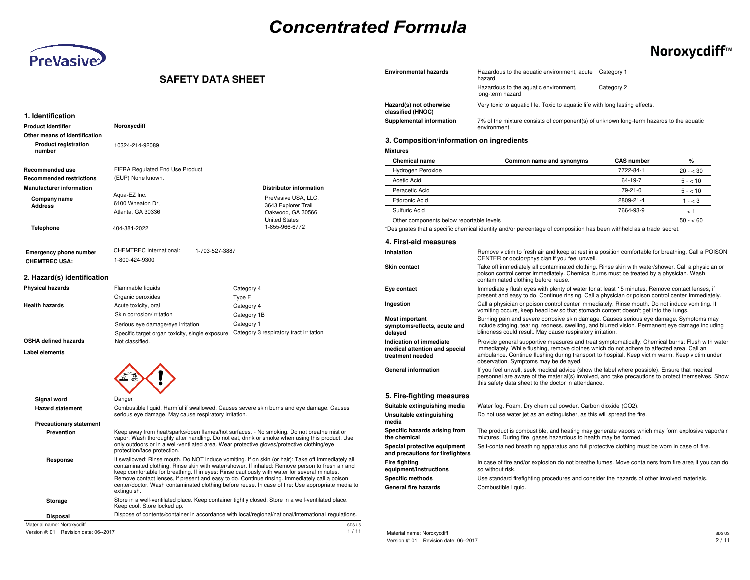# *Concentrated Formula*

**Environmental hazards**



## **NoroxycdiffTM**

### **SAFETY DATA SHEET**

| 1. Identification                     |                                                                                                                           |                                                                                                                                                                                                                                                                                                                                                                                                            |
|---------------------------------------|---------------------------------------------------------------------------------------------------------------------------|------------------------------------------------------------------------------------------------------------------------------------------------------------------------------------------------------------------------------------------------------------------------------------------------------------------------------------------------------------------------------------------------------------|
| Product identifier                    | Noroxycdiff                                                                                                               |                                                                                                                                                                                                                                                                                                                                                                                                            |
| Other means of identification         |                                                                                                                           |                                                                                                                                                                                                                                                                                                                                                                                                            |
| <b>Product registration</b><br>number | 10324-214-92089                                                                                                           |                                                                                                                                                                                                                                                                                                                                                                                                            |
| Recommended use                       | FIFRA Regulated End Use Product                                                                                           |                                                                                                                                                                                                                                                                                                                                                                                                            |
| <b>Recommended restrictions</b>       | (EUP) None known.                                                                                                         |                                                                                                                                                                                                                                                                                                                                                                                                            |
| <b>Manufacturer information</b>       |                                                                                                                           | <b>Distributor information</b>                                                                                                                                                                                                                                                                                                                                                                             |
| Company name                          | Aqua-EZ Inc.                                                                                                              | PreVasive USA, LLC.                                                                                                                                                                                                                                                                                                                                                                                        |
| <b>Address</b>                        | 6100 Wheaton Dr.                                                                                                          | 3643 Explorer Trail                                                                                                                                                                                                                                                                                                                                                                                        |
|                                       | Atlanta, GA 30336                                                                                                         | Oakwood, GA 30566<br><b>United States</b>                                                                                                                                                                                                                                                                                                                                                                  |
| <b>Telephone</b>                      | 404-381-2022                                                                                                              | 1-855-966-6772                                                                                                                                                                                                                                                                                                                                                                                             |
| <b>Emergency phone number</b>         | <b>CHEMTREC International:</b><br>1-703-527-3887                                                                          |                                                                                                                                                                                                                                                                                                                                                                                                            |
| <b>CHEMTREC USA:</b>                  | 1-800-424-9300                                                                                                            |                                                                                                                                                                                                                                                                                                                                                                                                            |
| 2. Hazard(s) identification           |                                                                                                                           |                                                                                                                                                                                                                                                                                                                                                                                                            |
| <b>Physical hazards</b>               | Flammable liquids                                                                                                         | Category 4                                                                                                                                                                                                                                                                                                                                                                                                 |
|                                       | Organic peroxides                                                                                                         | Type F                                                                                                                                                                                                                                                                                                                                                                                                     |
| <b>Health hazards</b>                 | Acute toxicity, oral                                                                                                      | Category 4                                                                                                                                                                                                                                                                                                                                                                                                 |
|                                       | Skin corrosion/irritation                                                                                                 | Category 1B                                                                                                                                                                                                                                                                                                                                                                                                |
|                                       | Serious eye damage/eye irritation                                                                                         | Category 1                                                                                                                                                                                                                                                                                                                                                                                                 |
|                                       | Specific target organ toxicity, single exposure                                                                           | Category 3 respiratory tract irritation                                                                                                                                                                                                                                                                                                                                                                    |
| OSHA defined hazards                  | Not classified.                                                                                                           |                                                                                                                                                                                                                                                                                                                                                                                                            |
| Label elements                        |                                                                                                                           |                                                                                                                                                                                                                                                                                                                                                                                                            |
|                                       |                                                                                                                           |                                                                                                                                                                                                                                                                                                                                                                                                            |
| Signal word                           | Danger                                                                                                                    |                                                                                                                                                                                                                                                                                                                                                                                                            |
| <b>Hazard statement</b>               | serious eye damage. May cause respiratory irritation.                                                                     | Combustible liquid. Harmful if swallowed. Causes severe skin burns and eye damage. Causes                                                                                                                                                                                                                                                                                                                  |
| <b>Precautionary statement</b>        |                                                                                                                           |                                                                                                                                                                                                                                                                                                                                                                                                            |
| Prevention                            | only outdoors or in a well-ventilated area. Wear protective gloves/protective clothing/eye<br>protection/face protection. | Keep away from heat/sparks/open flames/hot surfaces. - No smoking. Do not breathe mist or<br>vapor. Wash thoroughly after handling. Do not eat, drink or smoke when using this product. Use                                                                                                                                                                                                                |
| Response                              | keep comfortable for breathing. If in eyes: Rinse cautiously with water for several minutes.<br>extinguish.               | If swallowed: Rinse mouth. Do NOT induce vomiting. If on skin (or hair): Take off immediately all<br>contaminated clothing. Rinse skin with water/shower. If inhaled: Remove person to fresh air and<br>Remove contact lenses, if present and easy to do. Continue rinsing. Immediately call a poison<br>center/doctor. Wash contaminated clothing before reuse. In case of fire: Use appropriate media to |
| Storage                               | Keep cool. Store locked up.                                                                                               | Store in a well-ventilated place. Keep container tightly closed. Store in a well-ventilated place.                                                                                                                                                                                                                                                                                                         |
|                                       |                                                                                                                           | Dispose of contents/container in accordance with local/regional/national/international regulations.                                                                                                                                                                                                                                                                                                        |

|                                                                              | hazard                                                                                                                                                                                                                                                                                                                                  |                   |           |
|------------------------------------------------------------------------------|-----------------------------------------------------------------------------------------------------------------------------------------------------------------------------------------------------------------------------------------------------------------------------------------------------------------------------------------|-------------------|-----------|
|                                                                              | Hazardous to the aquatic environment,<br>long-term hazard                                                                                                                                                                                                                                                                               | Category 2        |           |
| Hazard(s) not otherwise<br>classified (HNOC)                                 | Very toxic to aquatic life. Toxic to aquatic life with long lasting effects.                                                                                                                                                                                                                                                            |                   |           |
| Supplemental information                                                     | 7% of the mixture consists of component(s) of unknown long-term hazards to the aquatic<br>environment.                                                                                                                                                                                                                                  |                   |           |
| 3. Composition/information on ingredients                                    |                                                                                                                                                                                                                                                                                                                                         |                   |           |
| <b>Mixtures</b>                                                              |                                                                                                                                                                                                                                                                                                                                         |                   |           |
| <b>Chemical name</b>                                                         | Common name and synonyms                                                                                                                                                                                                                                                                                                                | <b>CAS number</b> | %         |
| Hydrogen Peroxide                                                            |                                                                                                                                                                                                                                                                                                                                         | 7722-84-1         | $20 - 30$ |
| <b>Acetic Acid</b>                                                           |                                                                                                                                                                                                                                                                                                                                         | 64-19-7           | $5 - 10$  |
| Peracetic Acid                                                               |                                                                                                                                                                                                                                                                                                                                         | 79-21-0           | $5 - 10$  |
| Etidronic Acid                                                               |                                                                                                                                                                                                                                                                                                                                         | 2809-21-4         | $1 - < 3$ |
| Sulfuric Acid                                                                |                                                                                                                                                                                                                                                                                                                                         | 7664-93-9         | < 1       |
| Other components below reportable levels                                     |                                                                                                                                                                                                                                                                                                                                         |                   | $50 - 60$ |
|                                                                              | *Designates that a specific chemical identity and/or percentage of composition has been withheld as a trade secret.                                                                                                                                                                                                                     |                   |           |
| 4. First-aid measures                                                        |                                                                                                                                                                                                                                                                                                                                         |                   |           |
| Inhalation                                                                   | Remove victim to fresh air and keep at rest in a position comfortable for breathing. Call a POISON<br>CENTER or doctor/physician if you feel unwell.                                                                                                                                                                                    |                   |           |
| <b>Skin contact</b>                                                          | Take off immediately all contaminated clothing. Rinse skin with water/shower. Call a physician or<br>poison control center immediately. Chemical burns must be treated by a physician. Wash<br>contaminated clothing before reuse.                                                                                                      |                   |           |
| Eye contact                                                                  | Immediately flush eyes with plenty of water for at least 15 minutes. Remove contact lenses, if<br>present and easy to do. Continue rinsing. Call a physician or poison control center immediately.                                                                                                                                      |                   |           |
| Ingestion                                                                    | Call a physician or poison control center immediately. Rinse mouth. Do not induce vomiting. If<br>vomiting occurs, keep head low so that stomach content doesn't get into the lungs.                                                                                                                                                    |                   |           |
| <b>Most important</b><br>symptoms/effects, acute and<br>delayed              | Burning pain and severe corrosive skin damage. Causes serious eye damage. Symptoms may<br>include stinging, tearing, redness, swelling, and blurred vision. Permanent eye damage including<br>blindness could result. May cause respiratory irritation.                                                                                 |                   |           |
| Indication of immediate<br>medical attention and special<br>treatment needed | Provide general supportive measures and treat symptomatically. Chemical burns: Flush with water<br>immediately. While flushing, remove clothes which do not adhere to affected area. Call an<br>ambulance. Continue flushing during transport to hospital. Keep victim warm. Keep victim under<br>observation. Symptoms may be delayed. |                   |           |
| <b>General information</b>                                                   | If you feel unwell, seek medical advice (show the label where possible). Ensure that medical<br>personnel are aware of the material(s) involved, and take precautions to protect themselves. Show<br>this safety data sheet to the doctor in attendance.                                                                                |                   |           |
| 5. Fire-fighting measures                                                    |                                                                                                                                                                                                                                                                                                                                         |                   |           |
| Suitable extinguishing media                                                 | Water fog. Foam. Dry chemical powder. Carbon dioxide (CO2).                                                                                                                                                                                                                                                                             |                   |           |
| Unsuitable extinguishing<br>media                                            | Do not use water jet as an extinguisher, as this will spread the fire.                                                                                                                                                                                                                                                                  |                   |           |
| Specific hazards arising from<br>the chemical                                | The product is combustible, and heating may generate vapors which may form explosive vapor/air<br>mixtures. During fire, gases hazardous to health may be formed.                                                                                                                                                                       |                   |           |
| Special protective equipment<br>and precautions for firefighters             | Self-contained breathing apparatus and full protective clothing must be worn in case of fire.                                                                                                                                                                                                                                           |                   |           |
| <b>Fire fighting</b><br>equipment/instructions                               | In case of fire and/or explosion do not breathe fumes. Move containers from fire area if you can do<br>so without risk.                                                                                                                                                                                                                 |                   |           |
| <b>Specific methods</b>                                                      | Use standard firefighting procedures and consider the hazards of other involved materials.                                                                                                                                                                                                                                              |                   |           |
| General fire hazards                                                         | Combustible liquid.                                                                                                                                                                                                                                                                                                                     |                   |           |

Hazardous to the aquatic environment, acute Category 1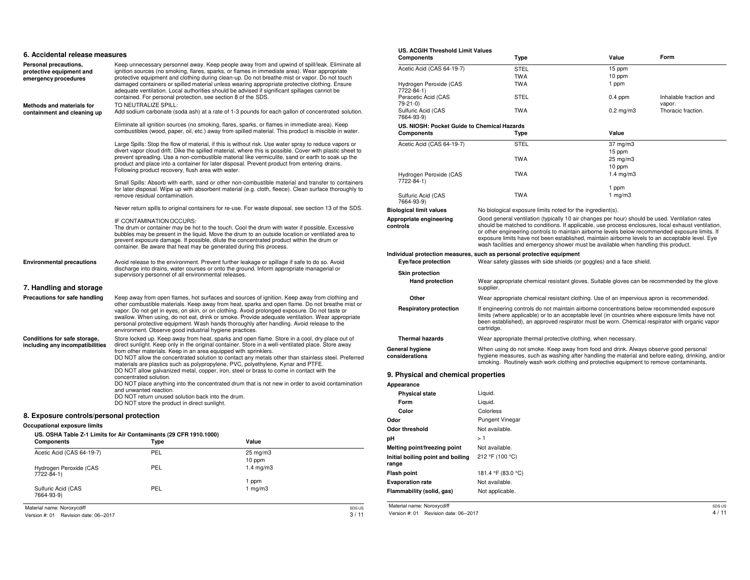| 6. Accidental release measures                                            |                                                                                                                                                                                                                                                                                                                                                                                                                                                                                                                                                                                                                                                                                                                                                                                                                           |  |  |  |  |  |
|---------------------------------------------------------------------------|---------------------------------------------------------------------------------------------------------------------------------------------------------------------------------------------------------------------------------------------------------------------------------------------------------------------------------------------------------------------------------------------------------------------------------------------------------------------------------------------------------------------------------------------------------------------------------------------------------------------------------------------------------------------------------------------------------------------------------------------------------------------------------------------------------------------------|--|--|--|--|--|
| Personal precautions,<br>protective equipment and<br>emergency procedures | Keep unnecessary personnel away. Keep people away from and upwind of spill/leak. Eliminate all<br>ignition sources (no smoking, flares, sparks, or flames in immediate area). Wear appropriate<br>protective equipment and clothing during clean-up. Do not breathe mist or vapor. Do not touch<br>damaged containers or spilled material unless wearing appropriate protective clothing. Ensure<br>adequate ventilation. Local authorities should be advised if significant spillages cannot be<br>contained. For personal protection, see section 8 of the SDS.                                                                                                                                                                                                                                                         |  |  |  |  |  |
| <b>Methods and materials for</b><br>containment and cleaning up           | TO NEUTRALIZE SPILL:<br>Add sodium carbonate (soda ash) at a rate of 1-3 pounds for each gallon of concentrated solution.                                                                                                                                                                                                                                                                                                                                                                                                                                                                                                                                                                                                                                                                                                 |  |  |  |  |  |
|                                                                           | Eliminate all ignition sources (no smoking, flares, sparks, or flames in immediate area). Keep<br>combustibles (wood, paper, oil, etc.) away from spilled material. This product is miscible in water.                                                                                                                                                                                                                                                                                                                                                                                                                                                                                                                                                                                                                    |  |  |  |  |  |
|                                                                           | Large Spills: Stop the flow of material, if this is without risk. Use water spray to reduce vapors or<br>divert vapor cloud drift. Dike the spilled material, where this is possible. Cover with plastic sheet to<br>prevent spreading. Use a non-combustible material like vermiculite, sand or earth to soak up the<br>product and place into a container for later disposal. Prevent product from entering drains.<br>Following product recovery, flush area with water.                                                                                                                                                                                                                                                                                                                                               |  |  |  |  |  |
|                                                                           | Small Spills: Absorb with earth, sand or other non-combustible material and transfer to containers<br>for later disposal. Wipe up with absorbent material (e.g. cloth, fleece). Clean surface thoroughly to<br>remove residual contamination.                                                                                                                                                                                                                                                                                                                                                                                                                                                                                                                                                                             |  |  |  |  |  |
|                                                                           | Never return spills to original containers for re-use. For waste disposal, see section 13 of the SDS.                                                                                                                                                                                                                                                                                                                                                                                                                                                                                                                                                                                                                                                                                                                     |  |  |  |  |  |
|                                                                           | IF CONTAMINATION OCCURS:<br>The drum or container may be hot to the touch. Cool the drum with water if possible. Excessive<br>bubbles may be present in the liquid. Move the drum to an outside location or ventilated area to<br>prevent exposure damage. If possible, dilute the concentrated product within the drum or<br>container. Be aware that heat may be generated during this process.                                                                                                                                                                                                                                                                                                                                                                                                                         |  |  |  |  |  |
| <b>Environmental precautions</b>                                          | Avoid release to the environment. Prevent further leakage or spillage if safe to do so. Avoid<br>discharge into drains, water courses or onto the ground. Inform appropriate managerial or<br>supervisory personnel of all environmental releases.                                                                                                                                                                                                                                                                                                                                                                                                                                                                                                                                                                        |  |  |  |  |  |
| 7. Handling and storage                                                   |                                                                                                                                                                                                                                                                                                                                                                                                                                                                                                                                                                                                                                                                                                                                                                                                                           |  |  |  |  |  |
| Precautions for safe handling                                             | Keep away from open flames, hot surfaces and sources of ignition. Keep away from clothing and<br>other combustible materials. Keep away from heat, sparks and open flame. Do not breathe mist or<br>vapor. Do not get in eyes, on skin, or on clothing. Avoid prolonged exposure. Do not taste or<br>swallow. When using, do not eat, drink or smoke. Provide adequate ventilation. Wear appropriate<br>personal protective equipment. Wash hands thoroughly after handling. Avoid release to the<br>environment. Observe good industrial hygiene practices.                                                                                                                                                                                                                                                              |  |  |  |  |  |
| Conditions for safe storage,<br>including any incompatibilities           | Store locked up. Keep away from heat, sparks and open flame. Store in a cool, dry place out of<br>direct sunlight. Keep only in the original container. Store in a well-ventilated place. Store away<br>from other materials. Keep in an area equipped with sprinklers.<br>DO NOT allow the concentrated solution to contact any metals other than stainless steel. Preferred<br>materials are plastics such as polypropylene, PVC, polyethylene, Kynar and PTFE.<br>DO NOT allow galvanized metal, copper, iron, steel or brass to come in contact with the<br>concentrated solution.<br>DO NOT place anything into the concentrated drum that is not new in order to avoid contamination<br>and unwanted reaction.<br>DO NOT return unused solution back into the drum.<br>DO NOT store the product in direct sunlight. |  |  |  |  |  |
| 8. Exposure controls/personal protection                                  |                                                                                                                                                                                                                                                                                                                                                                                                                                                                                                                                                                                                                                                                                                                                                                                                                           |  |  |  |  |  |
| Occupational exposure limits                                              |                                                                                                                                                                                                                                                                                                                                                                                                                                                                                                                                                                                                                                                                                                                                                                                                                           |  |  |  |  |  |

| <b>Components</b>                     | Type | Value                |        |
|---------------------------------------|------|----------------------|--------|
| Acetic Acid (CAS 64-19-7)             | PEL  | $25 \text{ mg/m}$    |        |
|                                       |      | 10 ppm               |        |
| Hydrogen Peroxide (CAS<br>7722-84-1)  | PEL  | $1.4 \text{ mg/m}$ 3 |        |
|                                       |      | 1 ppm                |        |
| Sulfuric Acid (CAS<br>7664-93-9)      | PEL  | 1 $mq/m3$            |        |
| Material name: Noroxycdiff            |      |                      | SDS US |
| Version #: 01 Revision date: 06--2017 |      |                      | 3/11   |

| US. ACGIH Threshold Limit Values            |                                                                                                                                                                                                                                                                                                                                                                                                                                                                                                  | Value                | Form                             |
|---------------------------------------------|--------------------------------------------------------------------------------------------------------------------------------------------------------------------------------------------------------------------------------------------------------------------------------------------------------------------------------------------------------------------------------------------------------------------------------------------------------------------------------------------------|----------------------|----------------------------------|
| Components                                  | Type                                                                                                                                                                                                                                                                                                                                                                                                                                                                                             |                      |                                  |
| Acetic Acid (CAS 64-19-7)                   | STEL                                                                                                                                                                                                                                                                                                                                                                                                                                                                                             | 15 ppm               |                                  |
|                                             | <b>TWA</b>                                                                                                                                                                                                                                                                                                                                                                                                                                                                                       | 10 ppm               |                                  |
| Hydrogen Peroxide (CAS<br>7722-84-1)        | TWA                                                                                                                                                                                                                                                                                                                                                                                                                                                                                              | 1 ppm                |                                  |
| Peracetic Acid (CAS<br>79-21-0)             | STEL                                                                                                                                                                                                                                                                                                                                                                                                                                                                                             | $0.4$ ppm            | Inhalable fraction and<br>vapor. |
| Sulfuric Acid (CAS<br>7664-93-9)            | TWA                                                                                                                                                                                                                                                                                                                                                                                                                                                                                              | $0.2 \text{ mg/m}$ 3 | Thoracic fraction.               |
| US. NIOSH: Pocket Guide to Chemical Hazards |                                                                                                                                                                                                                                                                                                                                                                                                                                                                                                  |                      |                                  |
| Components                                  | Type                                                                                                                                                                                                                                                                                                                                                                                                                                                                                             | Value                |                                  |
| Acetic Acid (CAS 64-19-7)                   | <b>STEL</b>                                                                                                                                                                                                                                                                                                                                                                                                                                                                                      | 37 mg/m3             |                                  |
|                                             |                                                                                                                                                                                                                                                                                                                                                                                                                                                                                                  | 15 ppm               |                                  |
|                                             | <b>TWA</b>                                                                                                                                                                                                                                                                                                                                                                                                                                                                                       | 25 mg/m3             |                                  |
|                                             |                                                                                                                                                                                                                                                                                                                                                                                                                                                                                                  | 10 ppm               |                                  |
| Hydrogen Peroxide (CAS                      | <b>TWA</b>                                                                                                                                                                                                                                                                                                                                                                                                                                                                                       | $1.4 \text{ mg/m}$ 3 |                                  |
| 7722-84-1)                                  |                                                                                                                                                                                                                                                                                                                                                                                                                                                                                                  |                      |                                  |
|                                             |                                                                                                                                                                                                                                                                                                                                                                                                                                                                                                  | 1 ppm                |                                  |
| Sulfuric Acid (CAS<br>7664-93-9)            | <b>TWA</b>                                                                                                                                                                                                                                                                                                                                                                                                                                                                                       | 1 $mg/m3$            |                                  |
| <b>Biological limit values</b>              | No biological exposure limits noted for the ingredient(s).                                                                                                                                                                                                                                                                                                                                                                                                                                       |                      |                                  |
| Appropriate engineering<br>controls         | Good general ventilation (typically 10 air changes per hour) should be used. Ventilation rates<br>should be matched to conditions. If applicable, use process enclosures, local exhaust ventilation,<br>or other engineering controls to maintain airborne levels below recommended exposure limits. If<br>exposure limits have not been established, maintain airborne levels to an acceptable level. Eye<br>wash facilities and emergency shower must be available when handling this product. |                      |                                  |
| Eye/face protection                         | Individual protection measures, such as personal protective equipment<br>Wear safety glasses with side shields (or goggles) and a face shield.                                                                                                                                                                                                                                                                                                                                                   |                      |                                  |
| <b>Skin protection</b>                      |                                                                                                                                                                                                                                                                                                                                                                                                                                                                                                  |                      |                                  |
| <b>Hand protection</b>                      | Wear appropriate chemical resistant gloves. Suitable gloves can be recommended by the glove<br>supplier.                                                                                                                                                                                                                                                                                                                                                                                         |                      |                                  |
| Other                                       | Wear appropriate chemical resistant clothing. Use of an impervious apron is recommended.                                                                                                                                                                                                                                                                                                                                                                                                         |                      |                                  |
| <b>Respiratory protection</b>               | If engineering controls do not maintain airborne concentrations below recommended exposure<br>limits (where applicable) or to an acceptable level (in countries where exposure limits have not<br>been established), an approved respirator must be worn. Chemical respirator with organic vapor<br>cartridge.                                                                                                                                                                                   |                      |                                  |
| <b>Thermal hazards</b>                      | Wear appropriate thermal protective clothing, when necessary.                                                                                                                                                                                                                                                                                                                                                                                                                                    |                      |                                  |
| General hygiene<br>considerations           | When using do not smoke. Keep away from food and drink. Always observe good personal<br>hygiene measures, such as washing after handling the material and before eating, drinking, and/or<br>smoking. Routinely wash work clothing and protective equipment to remove contaminants.                                                                                                                                                                                                              |                      |                                  |
| 9. Physical and chemical properties         |                                                                                                                                                                                                                                                                                                                                                                                                                                                                                                  |                      |                                  |
| Appearance                                  |                                                                                                                                                                                                                                                                                                                                                                                                                                                                                                  |                      |                                  |
| <b>Physical state</b>                       | Liquid.                                                                                                                                                                                                                                                                                                                                                                                                                                                                                          |                      |                                  |
| Form                                        | Liquid.                                                                                                                                                                                                                                                                                                                                                                                                                                                                                          |                      |                                  |
| Color                                       | Colorless                                                                                                                                                                                                                                                                                                                                                                                                                                                                                        |                      |                                  |
| Odor                                        | <b>Pungent Vinegar</b>                                                                                                                                                                                                                                                                                                                                                                                                                                                                           |                      |                                  |
| <b>Odor threshold</b>                       | Not available.                                                                                                                                                                                                                                                                                                                                                                                                                                                                                   |                      |                                  |
|                                             | >1                                                                                                                                                                                                                                                                                                                                                                                                                                                                                               |                      |                                  |
| pН                                          |                                                                                                                                                                                                                                                                                                                                                                                                                                                                                                  |                      |                                  |
| Melting point/freezing point                | Not available.                                                                                                                                                                                                                                                                                                                                                                                                                                                                                   |                      |                                  |
| Initial boiling point and boiling<br>range  | 212 °F (100 °C)                                                                                                                                                                                                                                                                                                                                                                                                                                                                                  |                      |                                  |

| Colorless              |
|------------------------|
| <b>Pungent Vinegar</b> |
| Not available.         |
| >1                     |
| Not available.         |
| 212 °F (100 °C)        |
| 181.4 °F (83.0 °C)     |
| Not available.         |
| Not applicable.        |
|                        |

Material name: Noroxycdiff

Version #: 01 Revision date: 06--2017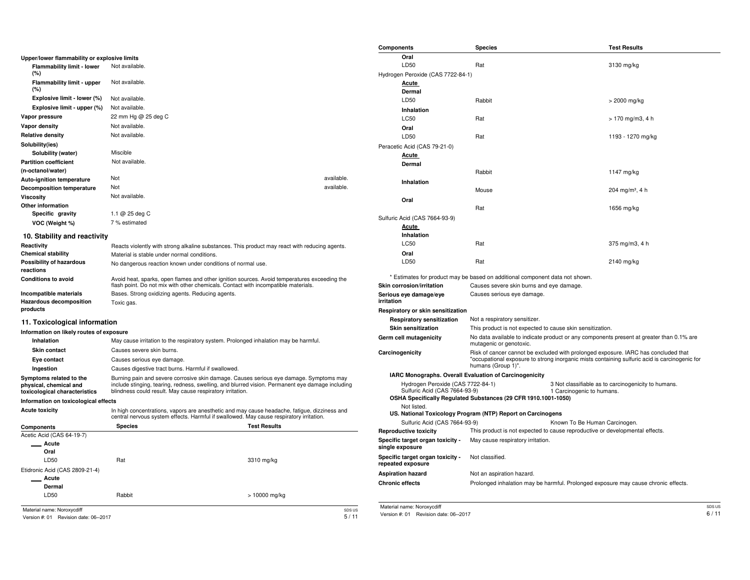|                                                          |                                                                                                                                                                                         |                     | Components                                                         | <b>Species</b>                                                               | <b>Test Results</b>                                                                           |        |
|----------------------------------------------------------|-----------------------------------------------------------------------------------------------------------------------------------------------------------------------------------------|---------------------|--------------------------------------------------------------------|------------------------------------------------------------------------------|-----------------------------------------------------------------------------------------------|--------|
| Upper/lower flammability or explosive limits             |                                                                                                                                                                                         |                     | Oral                                                               |                                                                              |                                                                                               |        |
| Flammability limit - lower                               | Not available.                                                                                                                                                                          |                     | LD50                                                               | Rat                                                                          | 3130 mg/kg                                                                                    |        |
| (%)                                                      |                                                                                                                                                                                         |                     | Hydrogen Peroxide (CAS 7722-84-1)                                  |                                                                              |                                                                                               |        |
| Flammability limit - upper                               | Not available.                                                                                                                                                                          |                     | <b>Acute</b>                                                       |                                                                              |                                                                                               |        |
| (%)                                                      |                                                                                                                                                                                         |                     | Dermal                                                             |                                                                              |                                                                                               |        |
| Explosive limit - lower (%)                              | Not available.                                                                                                                                                                          |                     | LD50                                                               | Rabbit                                                                       | > 2000 mg/kg                                                                                  |        |
| Explosive limit - upper (%)                              | Not available.                                                                                                                                                                          |                     | Inhalation                                                         |                                                                              |                                                                                               |        |
| Vapor pressure                                           | 22 mm Hg @ 25 deg C                                                                                                                                                                     |                     | <b>LC50</b>                                                        | Rat                                                                          | > 170 mg/m3, 4 h                                                                              |        |
| Vapor density                                            | Not available.                                                                                                                                                                          |                     | Oral                                                               |                                                                              |                                                                                               |        |
| <b>Relative density</b>                                  | Not available.                                                                                                                                                                          |                     | LD50                                                               | Rat                                                                          | 1193 - 1270 mg/kg                                                                             |        |
| Solubility(ies)                                          |                                                                                                                                                                                         |                     | Peracetic Acid (CAS 79-21-0)                                       |                                                                              |                                                                                               |        |
| Solubility (water)                                       | Miscible                                                                                                                                                                                |                     | <b>Acute</b>                                                       |                                                                              |                                                                                               |        |
| <b>Partition coefficient</b>                             | Not available.                                                                                                                                                                          |                     | Dermal                                                             |                                                                              |                                                                                               |        |
| (n-octanol/water)                                        |                                                                                                                                                                                         |                     |                                                                    | Rabbit                                                                       | 1147 mg/kg                                                                                    |        |
| <b>Auto-ignition temperature</b>                         | Not                                                                                                                                                                                     | available.          | Inhalation                                                         |                                                                              |                                                                                               |        |
| <b>Decomposition temperature</b>                         | Not                                                                                                                                                                                     | available.          |                                                                    | Mouse                                                                        | 204 mg/m <sup>3</sup> , 4 h                                                                   |        |
| Viscosity                                                | Not available.                                                                                                                                                                          |                     | Oral                                                               |                                                                              |                                                                                               |        |
| Other information                                        |                                                                                                                                                                                         |                     |                                                                    | Rat                                                                          | 1656 mg/kg                                                                                    |        |
| Specific gravity                                         | 1.1 @ 25 deg C                                                                                                                                                                          |                     | Sulfuric Acid (CAS 7664-93-9)                                      |                                                                              |                                                                                               |        |
| VOC (Weight %)                                           | 7 % estimated                                                                                                                                                                           |                     | <b>Acute</b>                                                       |                                                                              |                                                                                               |        |
| 10. Stability and reactivity                             |                                                                                                                                                                                         |                     | Inhalation                                                         |                                                                              |                                                                                               |        |
| Reactivity                                               | Reacts violently with strong alkaline substances. This product may react with reducing agents.                                                                                          |                     | <b>LC50</b>                                                        | Rat                                                                          | 375 mg/m3, 4 h                                                                                |        |
| <b>Chemical stability</b>                                | Material is stable under normal conditions.                                                                                                                                             |                     | Oral                                                               |                                                                              |                                                                                               |        |
| Possibility of hazardous                                 | No dangerous reaction known under conditions of normal use.                                                                                                                             |                     | LD50                                                               | Rat                                                                          | 2140 mg/kg                                                                                    |        |
| reactions                                                |                                                                                                                                                                                         |                     |                                                                    |                                                                              |                                                                                               |        |
| <b>Conditions to avoid</b>                               | Avoid heat, sparks, open flames and other ignition sources. Avoid temperatures exceeding the                                                                                            |                     |                                                                    | * Estimates for product may be based on additional component data not shown. |                                                                                               |        |
|                                                          | flash point. Do not mix with other chemicals. Contact with incompatible materials.                                                                                                      |                     | Skin corrosion/irritation                                          | Causes severe skin burns and eye damage.                                     |                                                                                               |        |
| Incompatible materials<br><b>Hazardous decomposition</b> | Bases. Strong oxidizing agents. Reducing agents.                                                                                                                                        |                     | Serious eye damage/eye<br>irritation                               | Causes serious eye damage.                                                   |                                                                                               |        |
| products                                                 | Toxic gas.                                                                                                                                                                              |                     | Respiratory or skin sensitization                                  |                                                                              |                                                                                               |        |
|                                                          |                                                                                                                                                                                         |                     | <b>Respiratory sensitization</b>                                   | Not a respiratory sensitizer.                                                |                                                                                               |        |
| 11. Toxicological information                            |                                                                                                                                                                                         |                     | <b>Skin sensitization</b>                                          | This product is not expected to cause skin sensitization.                    |                                                                                               |        |
| Information on likely routes of exposure                 |                                                                                                                                                                                         |                     | Germ cell mutagenicity                                             |                                                                              | No data available to indicate product or any components present at greater than 0.1% are      |        |
| Inhalation                                               | May cause irritation to the respiratory system. Prolonged inhalation may be harmful.                                                                                                    |                     |                                                                    | mutagenic or genotoxic.                                                      |                                                                                               |        |
| Skin contact                                             | Causes severe skin burns                                                                                                                                                                |                     | Carcinogenicity                                                    |                                                                              | Risk of cancer cannot be excluded with prolonged exposure. IARC has concluded that            |        |
| Eye contact                                              | Causes serious eye damage.                                                                                                                                                              |                     |                                                                    |                                                                              | "occupational exposure to strong inorganic mists containing sulfuric acid is carcinogenic for |        |
| Ingestion                                                | Causes digestive tract burns. Harmful if swallowed.                                                                                                                                     |                     |                                                                    | humans (Group 1)".                                                           |                                                                                               |        |
| Symptoms related to the                                  | Burning pain and severe corrosive skin damage. Causes serious eye damage. Symptoms may                                                                                                  |                     |                                                                    | IARC Monographs. Overall Evaluation of Carcinogenicity                       |                                                                                               |        |
| physical, chemical and                                   | include stinging, tearing, redness, swelling, and blurred vision. Permanent eye damage including<br>blindness could result. May cause respiratory irritation.                           |                     | Hydrogen Peroxide (CAS 7722-84-1)<br>Sulfuric Acid (CAS 7664-93-9) |                                                                              | 3 Not classifiable as to carcinogenicity to humans.<br>1 Carcinogenic to humans.              |        |
| toxicological characteristics                            |                                                                                                                                                                                         |                     |                                                                    | OSHA Specifically Regulated Substances (29 CFR 1910.1001-1050)               |                                                                                               |        |
| Information on toxicological effects                     |                                                                                                                                                                                         |                     | Not listed.                                                        |                                                                              |                                                                                               |        |
| <b>Acute toxicity</b>                                    | In high concentrations, vapors are anesthetic and may cause headache, fatigue, dizziness and<br>central nervous system effects. Harmful if swallowed. May cause respiratory irritation. |                     | Sulfuric Acid (CAS 7664-93-9)                                      | US. National Toxicology Program (NTP) Report on Carcinogens                  | Known To Be Human Carcinogen.                                                                 |        |
| Components                                               | <b>Species</b>                                                                                                                                                                          | <b>Test Results</b> | <b>Reproductive toxicity</b>                                       |                                                                              | This product is not expected to cause reproductive or developmental effects.                  |        |
| Acetic Acid (CAS 64-19-7)                                |                                                                                                                                                                                         |                     | Specific target organ toxicity -                                   | May cause respiratory irritation.                                            |                                                                                               |        |
| Acute                                                    |                                                                                                                                                                                         |                     | single exposure                                                    |                                                                              |                                                                                               |        |
| Oral                                                     |                                                                                                                                                                                         |                     | Specific target organ toxicity -                                   | Not classified.                                                              |                                                                                               |        |
| LD50                                                     | Rat                                                                                                                                                                                     | 3310 mg/kg          | repeated exposure                                                  |                                                                              |                                                                                               |        |
| Etidronic Acid (CAS 2809-21-4)                           |                                                                                                                                                                                         |                     | <b>Aspiration hazard</b>                                           | Not an aspiration hazard.                                                    |                                                                                               |        |
| Acute                                                    |                                                                                                                                                                                         |                     | <b>Chronic effects</b>                                             |                                                                              | Prolonged inhalation may be harmful. Prolonged exposure may cause chronic effects.            |        |
| Dermal<br>LD50                                           |                                                                                                                                                                                         |                     |                                                                    |                                                                              |                                                                                               |        |
|                                                          | Rabbit                                                                                                                                                                                  | $> 10000$ mg/kg     |                                                                    |                                                                              |                                                                                               |        |
| Material name: Noroxycdiff                               |                                                                                                                                                                                         | SDS US              | Material name: Noroxycdiff                                         |                                                                              |                                                                                               | SDS US |
| Version #: 01 Revision date: 06--2017                    |                                                                                                                                                                                         | 5/11                | Version #: 01 Revision date: 06--2017                              |                                                                              |                                                                                               | 6/11   |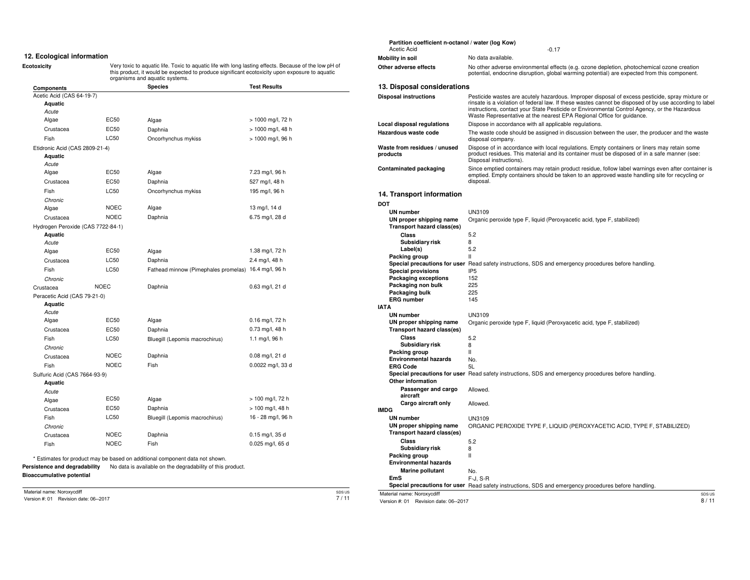#### **12. Ecological information**

**Ecotoxicity** Very toxic to aquatic life. Toxic to aquatic life with long lasting effects. Because of the low pH of this product, it would be expected to produce significant ecotoxicity upon exposure to aquatic organisms and aquatic systems.

| Components                        |             | <b>Species</b>                                       | <b>Test Results</b> |
|-----------------------------------|-------------|------------------------------------------------------|---------------------|
| Acetic Acid (CAS 64-19-7)         |             |                                                      |                     |
| Aquatic                           |             |                                                      |                     |
| Acute                             |             |                                                      |                     |
| Algae                             | EC50        | Algae                                                | > 1000 mg/l, 72 h   |
| Crustacea                         | EC50        | Daphnia                                              | > 1000 mg/l, 48 h   |
| Fish                              | <b>LC50</b> | Oncorhynchus mykiss                                  | > 1000 mg/l, 96 h   |
| Etidronic Acid (CAS 2809-21-4)    |             |                                                      |                     |
| Aquatic                           |             |                                                      |                     |
| Acute<br>Algae                    | EC50        | Algae                                                | 7.23 mg/l, 96 h     |
|                                   |             |                                                      |                     |
| Crustacea                         | EC50        | Daphnia                                              | 527 mg/l, 48 h      |
| Fish                              | <b>LC50</b> | Oncorhynchus mykiss                                  | 195 mg/l, 96 h      |
| Chronic                           | <b>NOEC</b> |                                                      |                     |
| Algae                             |             | Algae                                                | 13 mg/l, 14 d       |
| Crustacea                         | <b>NOEC</b> | Daphnia                                              | 6.75 mg/l, 28 d     |
| Hydrogen Peroxide (CAS 7722-84-1) |             |                                                      |                     |
| Aquatic<br>Acute                  |             |                                                      |                     |
| Algae                             | <b>EC50</b> | Algae                                                | 1.38 mg/l, 72 h     |
| Crustacea                         | <b>LC50</b> | Daphnia                                              | 2.4 mg/l, 48 h      |
| Fish                              | <b>LC50</b> | Fathead minnow (Pimephales promelas) 16.4 mg/l, 96 h |                     |
| Chronic                           |             |                                                      |                     |
| Crustacea                         | <b>NOEC</b> | Daphnia                                              | 0.63 mg/l, 21 d     |
| Peracetic Acid (CAS 79-21-0)      |             |                                                      |                     |
| Aquatic                           |             |                                                      |                     |
| Acute                             |             |                                                      |                     |
| Algae                             | <b>EC50</b> | Algae                                                | 0.16 mg/l, 72 h     |
| Crustacea                         | EC50        | Daphnia                                              | 0.73 mg/l, 48 h     |
| Fish                              | <b>LC50</b> | Bluegill (Lepomis macrochirus)                       | 1.1 mg/l, 96 h      |
| Chronic                           |             |                                                      |                     |
| Crustacea                         | <b>NOEC</b> | Daphnia                                              | 0.08 mg/l, 21 d     |
| Fish                              | <b>NOEC</b> | Fish                                                 | 0.0022 mg/l, 33 d   |
| Sulfuric Acid (CAS 7664-93-9)     |             |                                                      |                     |
| Aquatic                           |             |                                                      |                     |
| Acute                             |             |                                                      |                     |
| Algae                             | <b>EC50</b> | Algae                                                | > 100 mg/l, 72 h    |
| Crustacea                         | EC50        | Daphnia                                              | > 100 mg/l, 48 h    |
| Fish                              | <b>LC50</b> | Bluegill (Lepomis macrochirus)                       | 16 - 28 mg/l, 96 h  |
| Chronic                           |             |                                                      |                     |
| Crustacea                         | <b>NOEC</b> | Daphnia                                              | 0.15 mg/l, 35 d     |
| Fish                              | <b>NOEC</b> | Fish                                                 | 0.025 mg/l, 65 d    |

#### Acetic Acid -0.17 No data available. No other adverse environmental effects (e.g. ozone depletion, photochemical ozone creation potential, endocrine disruption, global warming potential) are expected from this component. **Mobility in soil Other adverse effects 13. Disposal considerations Disposal instructions Local disposal regulations Hazardous waste code Waste from residues / unused products Contaminated packaging 14. Transport information DOT UN number UN proper shipping name Transport hazard class(es) Class Subsidiary risk Label(s) Packing group Special precautions for user** Read safety instructions, SDS and emergency procedures before handling. **Special provisions Packaging exceptions Packaging non bulk Packaging bulk ERG number IATA UN number UN proper shipping name Transport hazard class(es) Class Subsidiary risk Packing group Environmental hazards ERG Code Special precautions for user** Read safety instructions, SDS and emergency procedures before handling. **Other information Passenger and cargo aircraft Cargo aircraft only IMDG UN number UN proper shipping name Transport hazard class(es) Class Subsidiary risk Packing group Environmental hazards Marine pollutant EmS** Special precautions for user Read safety instructions, SDS and emergency procedures before handling. Pesticide wastes are acutely hazardous. Improper disposal of excess pesticide, spray mixture or rinsate is a violation of federal law. If these wastes cannot be disposed of by use according to label instructions, contact your State Pesticide or Environmental Control Agency, or the Hazardous Waste Representative at the nearest EPA Regional Office for guidance. Dispose in accordance with all applicable regulations. The waste code should be assigned in discussion between the user, the producer and the waste disposal company. Dispose of in accordance with local regulations. Empty containers or liners may retain some product residues. This material and its container must be disposed of in a safe manner (see: Disposal instructions). Since emptied containers may retain product residue, follow label warnings even after container is emptied. Empty containers should be taken to an approved waste handling site for recycling or disposal. UN3109 Organic peroxide type F, liquid (Peroxyacetic acid, type F, stabilized) 5.2 8 5.2 II IP5 152 225 225 145 UN3109 Organic peroxide type F, liquid (Peroxyacetic acid, type F, stabilized) 5.2 8 II No.  $5<sub>l</sub>$ Allowed. Allowed. UN3109 ORGANIC PEROXIDE TYPE F, LIQUID (PEROXYACETIC ACID, TYPE F, STABILIZED) 5.2 8 II No. F-J, S-R

Material name: Noroxycdiff Version #: 01 Revision date: 06--2017 SDS US 7 / 11 Material name: Noroxycdiff

Version #: 01 Revision date: 06--2017

**Partition coefficient n-octanol / water (log Kow)**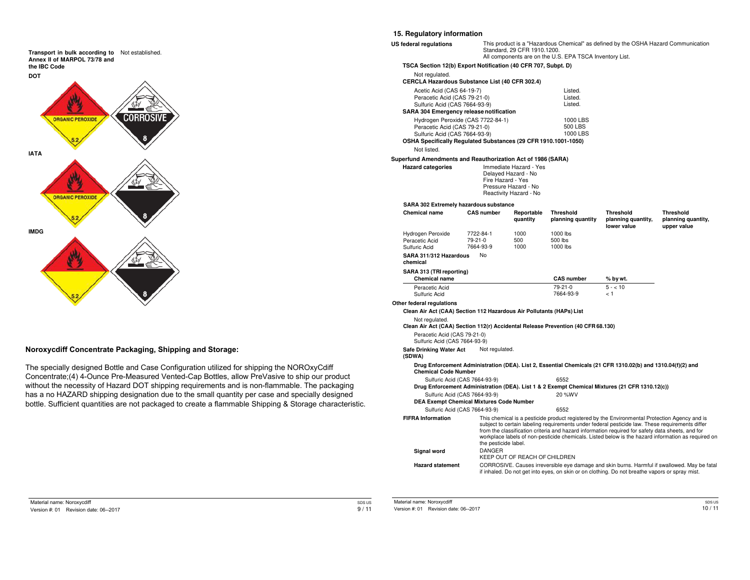

### **Noroxycdiff Concentrate Packaging, Shipping and Storage:**

The specially designed Bottle and Case Configuration utilized for shipping the NOROxyCdiff Concentrate;(4) 4-Ounce Pre-Measured Vented-Cap Bottles, allow PreVasive to ship our product without the necessity of Hazard DOT shipping requirements and is non-flammable. The packaging has a no HAZARD shipping designation due to the small quantity per case and specially designed bottle. Sufficient quantities are not packaged to create a flammable Shipping & Storage characteristic.

#### **15. Regulatory information**

| US federal regulations                                                                                                                                                     |                      | Standard, 29 CFR 1910.1200.                 | All components are on the U.S. EPA TSCA Inventory List. | This product is a "Hazardous Chemical" as defined by the OSHA Hazard Communication                                                                                                                                                                                                                   |                                                                                                    |  |  |  |
|----------------------------------------------------------------------------------------------------------------------------------------------------------------------------|----------------------|---------------------------------------------|---------------------------------------------------------|------------------------------------------------------------------------------------------------------------------------------------------------------------------------------------------------------------------------------------------------------------------------------------------------------|----------------------------------------------------------------------------------------------------|--|--|--|
| TSCA Section 12(b) Export Notification (40 CFR 707, Subpt. D)                                                                                                              |                      |                                             |                                                         |                                                                                                                                                                                                                                                                                                      |                                                                                                    |  |  |  |
| Not regulated.                                                                                                                                                             |                      |                                             |                                                         |                                                                                                                                                                                                                                                                                                      |                                                                                                    |  |  |  |
| CERCLA Hazardous Substance List (40 CFR 302.4)                                                                                                                             |                      |                                             |                                                         |                                                                                                                                                                                                                                                                                                      |                                                                                                    |  |  |  |
| Acetic Acid (CAS 64-19-7)<br>Peracetic Acid (CAS 79-21-0)<br>Sulfuric Acid (CAS 7664-93-9)                                                                                 |                      |                                             | Listed.<br>Listed.<br>Listed.                           |                                                                                                                                                                                                                                                                                                      |                                                                                                    |  |  |  |
| SARA 304 Emergency release notification                                                                                                                                    |                      |                                             |                                                         |                                                                                                                                                                                                                                                                                                      |                                                                                                    |  |  |  |
| Hydrogen Peroxide (CAS 7722-84-1)                                                                                                                                          |                      |                                             | 1000 LBS                                                |                                                                                                                                                                                                                                                                                                      |                                                                                                    |  |  |  |
| Peracetic Acid (CAS 79-21-0)<br>Sulfuric Acid (CAS 7664-93-9)                                                                                                              |                      |                                             | 500 LBS<br>1000 LBS                                     |                                                                                                                                                                                                                                                                                                      |                                                                                                    |  |  |  |
| OSHA Specifically Regulated Substances (29 CFR 1910.1001-1050)<br>Not listed.                                                                                              |                      |                                             |                                                         |                                                                                                                                                                                                                                                                                                      |                                                                                                    |  |  |  |
| Superfund Amendments and Reauthorization Act of 1986 (SARA)                                                                                                                |                      |                                             |                                                         |                                                                                                                                                                                                                                                                                                      |                                                                                                    |  |  |  |
| <b>Hazard categories</b>                                                                                                                                                   |                      | Immediate Hazard - Yes                      |                                                         |                                                                                                                                                                                                                                                                                                      |                                                                                                    |  |  |  |
|                                                                                                                                                                            | Fire Hazard - Yes    | Delayed Hazard - No<br>Pressure Hazard - No |                                                         |                                                                                                                                                                                                                                                                                                      |                                                                                                    |  |  |  |
|                                                                                                                                                                            |                      | Reactivity Hazard - No                      |                                                         |                                                                                                                                                                                                                                                                                                      |                                                                                                    |  |  |  |
| SARA 302 Extremely hazardous substance                                                                                                                                     |                      |                                             |                                                         |                                                                                                                                                                                                                                                                                                      |                                                                                                    |  |  |  |
| <b>Chemical name</b>                                                                                                                                                       | <b>CAS number</b>    | Reportable<br>quantity                      | <b>Threshold</b><br>planning quantity                   | <b>Threshold</b><br>planning quantity,<br>lower value                                                                                                                                                                                                                                                | <b>Threshold</b><br>planning quantity,<br>upper value                                              |  |  |  |
| Hydrogen Peroxide                                                                                                                                                          | 7722-84-1            | 1000                                        | 1000 lbs                                                |                                                                                                                                                                                                                                                                                                      |                                                                                                    |  |  |  |
| Peracetic Acid                                                                                                                                                             | 79-21-0<br>7664-93-9 | 500<br>1000                                 | 500 lbs<br>1000 lbs                                     |                                                                                                                                                                                                                                                                                                      |                                                                                                    |  |  |  |
| Sulfuric Acid<br>SARA 311/312 Hazardous                                                                                                                                    | No                   |                                             |                                                         |                                                                                                                                                                                                                                                                                                      |                                                                                                    |  |  |  |
| chemical                                                                                                                                                                   |                      |                                             |                                                         |                                                                                                                                                                                                                                                                                                      |                                                                                                    |  |  |  |
| SARA 313 (TRI reporting)                                                                                                                                                   |                      |                                             |                                                         |                                                                                                                                                                                                                                                                                                      |                                                                                                    |  |  |  |
| <b>Chemical name</b>                                                                                                                                                       |                      |                                             | <b>CAS number</b>                                       | % by wt.                                                                                                                                                                                                                                                                                             |                                                                                                    |  |  |  |
| Peracetic Acid<br>Sulfuric Acid                                                                                                                                            |                      |                                             | 79-21-0<br>7664-93-9                                    | $5 - 10$<br>< 1                                                                                                                                                                                                                                                                                      |                                                                                                    |  |  |  |
| Other federal regulations                                                                                                                                                  |                      |                                             |                                                         |                                                                                                                                                                                                                                                                                                      |                                                                                                    |  |  |  |
| Clean Air Act (CAA) Section 112 Hazardous Air Pollutants (HAPs) List<br>Not regulated.<br>Clean Air Act (CAA) Section 112(r) Accidental Release Prevention (40 CFR 68.130) |                      |                                             |                                                         |                                                                                                                                                                                                                                                                                                      |                                                                                                    |  |  |  |
| Peracetic Acid (CAS 79-21-0)<br>Sulfuric Acid (CAS 7664-93-9)                                                                                                              |                      |                                             |                                                         |                                                                                                                                                                                                                                                                                                      |                                                                                                    |  |  |  |
| Safe Drinking Water Act<br>(SDWA)                                                                                                                                          | Not regulated.       |                                             |                                                         |                                                                                                                                                                                                                                                                                                      |                                                                                                    |  |  |  |
| <b>Chemical Code Number</b>                                                                                                                                                |                      |                                             |                                                         | Drug Enforcement Administration (DEA). List 2, Essential Chemicals (21 CFR 1310.02(b) and 1310.04(f)(2) and                                                                                                                                                                                          |                                                                                                    |  |  |  |
| Sulfuric Acid (CAS 7664-93-9)                                                                                                                                              |                      |                                             | 6552                                                    | Drug Enforcement Administration (DEA). List 1 & 2 Exempt Chemical Mixtures (21 CFR 1310.12(c))                                                                                                                                                                                                       |                                                                                                    |  |  |  |
| Sulfuric Acid (CAS 7664-93-9)<br>DEA Exempt Chemical Mixtures Code Number                                                                                                  |                      |                                             | 20 %WV                                                  |                                                                                                                                                                                                                                                                                                      |                                                                                                    |  |  |  |
| Sulfuric Acid (CAS 7664-93-9)                                                                                                                                              |                      |                                             | 6552                                                    |                                                                                                                                                                                                                                                                                                      |                                                                                                    |  |  |  |
| <b>FIFRA</b> Information                                                                                                                                                   | the pesticide label. |                                             |                                                         | This chemical is a pesticide product registered by the Environmental Protection Agency and is<br>subject to certain labeling requirements under federal pesticide law. These requirements differ<br>from the classification criteria and hazard information required for safety data sheets, and for | workplace labels of non-pesticide chemicals. Listed below is the hazard information as required on |  |  |  |
| Signal word                                                                                                                                                                | <b>DANGER</b>        | KEEP OUT OF REACH OF CHILDREN               |                                                         |                                                                                                                                                                                                                                                                                                      |                                                                                                    |  |  |  |
| <b>Hazard statement</b>                                                                                                                                                    |                      |                                             |                                                         | if inhaled. Do not get into eyes, on skin or on clothing. Do not breathe vapors or spray mist.                                                                                                                                                                                                       | CORROSIVE. Causes irreversible eye damage and skin burns. Harmful if swallowed. May be fatal       |  |  |  |
|                                                                                                                                                                            |                      |                                             |                                                         |                                                                                                                                                                                                                                                                                                      |                                                                                                    |  |  |  |

SDS US 9 / 11 Material name: Noroxycdiff

Version #: 01 Revision date: 06--2017